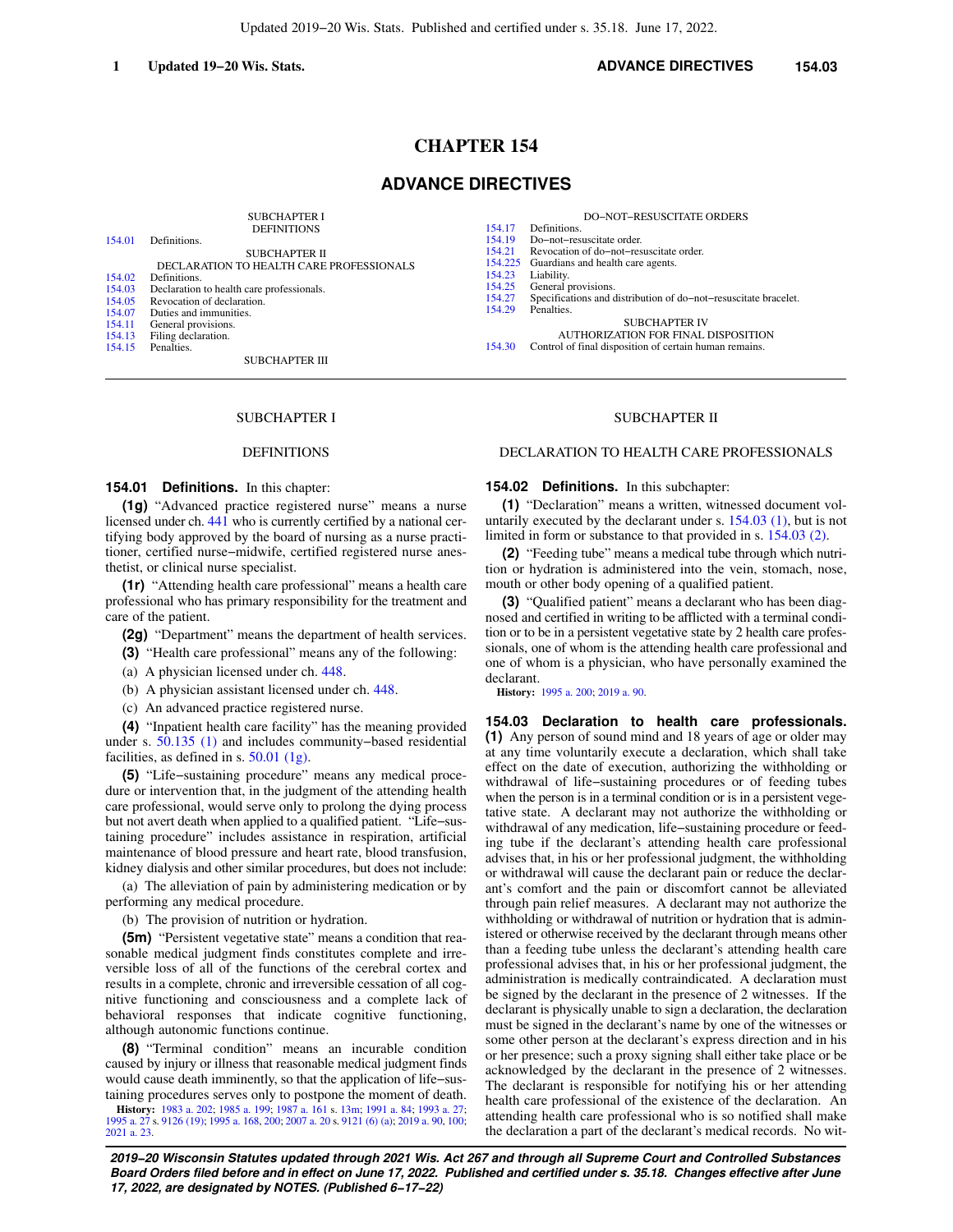# **CHAPTER 154**

# **ADVANCE DIRECTIVES**

|        | <b>SUBCHAPTER I</b>                       |         | <b>DO-NOT-RESUSCITATE ORDERS</b>                                |
|--------|-------------------------------------------|---------|-----------------------------------------------------------------|
|        | <b>DEFINITIONS</b>                        | 154.17  | Definitions.                                                    |
| 154.01 | Definitions.                              | 154.19  | Do-not-resuscitate order.                                       |
|        | <b>SUBCHAPTER II</b>                      | 154.21  | Revocation of do-not-resuscitate order.                         |
|        | DECLARATION TO HEALTH CARE PROFESSIONALS  | 154.225 | Guardians and health care agents.                               |
| 154.02 | Definitions.                              | 154.23  | Liability.                                                      |
| 154.03 | Declaration to health care professionals. | 154.25  | General provisions.                                             |
| 154.05 | Revocation of declaration.                | 154.27  | Specifications and distribution of do-not-resuscitate bracelet. |
| 154.07 | Duties and immunities.                    | 154.29  | Penalties.                                                      |
| 154.11 | General provisions.                       |         | <b>SUBCHAPTER IV</b>                                            |
| 154.13 | Filing declaration.                       |         | AUTHORIZATION FOR FINAL DISPOSITION                             |
| 154.15 | Penalties.                                | 154.30  | Control of final disposition of certain human remains.          |
|        | <b>SUBCHAPTER III</b>                     |         |                                                                 |

### SUBCHAPTER I

## DEFINITIONS

### **154.01 Definitions.** In this chapter:

**(1g)** "Advanced practice registered nurse" means a nurse licensed under ch. [441](https://docs.legis.wisconsin.gov/document/statutes/ch.%20441) who is currently certified by a national certifying body approved by the board of nursing as a nurse practitioner, certified nurse−midwife, certified registered nurse anesthetist, or clinical nurse specialist.

**(1r)** "Attending health care professional" means a health care professional who has primary responsibility for the treatment and care of the patient.

**(2g)** "Department" means the department of health services.

**(3)** "Health care professional" means any of the following:

(a) A physician licensed under ch. [448](https://docs.legis.wisconsin.gov/document/statutes/ch.%20448).

(b) A physician assistant licensed under ch. [448.](https://docs.legis.wisconsin.gov/document/statutes/ch.%20448)

(c) An advanced practice registered nurse.

**(4)** "Inpatient health care facility" has the meaning provided under s. [50.135 \(1\)](https://docs.legis.wisconsin.gov/document/statutes/50.135(1)) and includes community−based residential facilities, as defined in s. [50.01 \(1g\).](https://docs.legis.wisconsin.gov/document/statutes/50.01(1g))

**(5)** "Life−sustaining procedure" means any medical procedure or intervention that, in the judgment of the attending health care professional, would serve only to prolong the dying process but not avert death when applied to a qualified patient. "Life−sustaining procedure" includes assistance in respiration, artificial maintenance of blood pressure and heart rate, blood transfusion, kidney dialysis and other similar procedures, but does not include:

(a) The alleviation of pain by administering medication or by performing any medical procedure.

(b) The provision of nutrition or hydration.

**(5m)** "Persistent vegetative state" means a condition that reasonable medical judgment finds constitutes complete and irreversible loss of all of the functions of the cerebral cortex and results in a complete, chronic and irreversible cessation of all cognitive functioning and consciousness and a complete lack of behavioral responses that indicate cognitive functioning, although autonomic functions continue.

**(8)** "Terminal condition" means an incurable condition caused by injury or illness that reasonable medical judgment finds would cause death imminently, so that the application of life−sustaining procedures serves only to postpone the moment of death.

**History:** [1983 a. 202;](https://docs.legis.wisconsin.gov/document/acts/1983/202) [1985 a. 199;](https://docs.legis.wisconsin.gov/document/acts/1985/199) [1987 a. 161](https://docs.legis.wisconsin.gov/document/acts/1987/161) s. [13m](https://docs.legis.wisconsin.gov/document/acts/1987/161,%20s.%2013m); [1991 a. 84;](https://docs.legis.wisconsin.gov/document/acts/1991/84) [1993 a. 27](https://docs.legis.wisconsin.gov/document/acts/1993/27); [1995 a. 27](https://docs.legis.wisconsin.gov/document/acts/1995/27) s. [9126 \(19\)](https://docs.legis.wisconsin.gov/document/acts/1995/27,%20s.%209126); [1995 a. 168,](https://docs.legis.wisconsin.gov/document/acts/1995/168) [200](https://docs.legis.wisconsin.gov/document/acts/1995/200); [2007 a. 20](https://docs.legis.wisconsin.gov/document/acts/2007/20) s. [9121 \(6\) \(a\)](https://docs.legis.wisconsin.gov/document/acts/2007/20,%20s.%209121); [2019 a. 90](https://docs.legis.wisconsin.gov/document/acts/2019/90), [100](https://docs.legis.wisconsin.gov/document/acts/2019/100); [2021 a. 23](https://docs.legis.wisconsin.gov/document/acts/2021/23).

## SUBCHAPTER II

## DECLARATION TO HEALTH CARE PROFESSIONALS

### **154.02 Definitions.** In this subchapter:

**(1)** "Declaration" means a written, witnessed document voluntarily executed by the declarant under s. [154.03 \(1\),](https://docs.legis.wisconsin.gov/document/statutes/154.03(1)) but is not limited in form or substance to that provided in s. [154.03 \(2\).](https://docs.legis.wisconsin.gov/document/statutes/154.03(2))

**(2)** "Feeding tube" means a medical tube through which nutrition or hydration is administered into the vein, stomach, nose, mouth or other body opening of a qualified patient.

**(3)** "Qualified patient" means a declarant who has been diagnosed and certified in writing to be afflicted with a terminal condition or to be in a persistent vegetative state by 2 health care professionals, one of whom is the attending health care professional and one of whom is a physician, who have personally examined the declarant.

**History:** [1995 a. 200;](https://docs.legis.wisconsin.gov/document/acts/1995/200) [2019 a. 90.](https://docs.legis.wisconsin.gov/document/acts/2019/90)

**154.03 Declaration to health care professionals. (1)** Any person of sound mind and 18 years of age or older may at any time voluntarily execute a declaration, which shall take effect on the date of execution, authorizing the withholding or withdrawal of life−sustaining procedures or of feeding tubes when the person is in a terminal condition or is in a persistent vegetative state. A declarant may not authorize the withholding or withdrawal of any medication, life−sustaining procedure or feeding tube if the declarant's attending health care professional advises that, in his or her professional judgment, the withholding or withdrawal will cause the declarant pain or reduce the declarant's comfort and the pain or discomfort cannot be alleviated through pain relief measures. A declarant may not authorize the withholding or withdrawal of nutrition or hydration that is administered or otherwise received by the declarant through means other than a feeding tube unless the declarant's attending health care professional advises that, in his or her professional judgment, the administration is medically contraindicated. A declaration must be signed by the declarant in the presence of 2 witnesses. If the declarant is physically unable to sign a declaration, the declaration must be signed in the declarant's name by one of the witnesses or some other person at the declarant's express direction and in his or her presence; such a proxy signing shall either take place or be acknowledged by the declarant in the presence of 2 witnesses. The declarant is responsible for notifying his or her attending health care professional of the existence of the declaration. An attending health care professional who is so notified shall make the declaration a part of the declarant's medical records. No wit-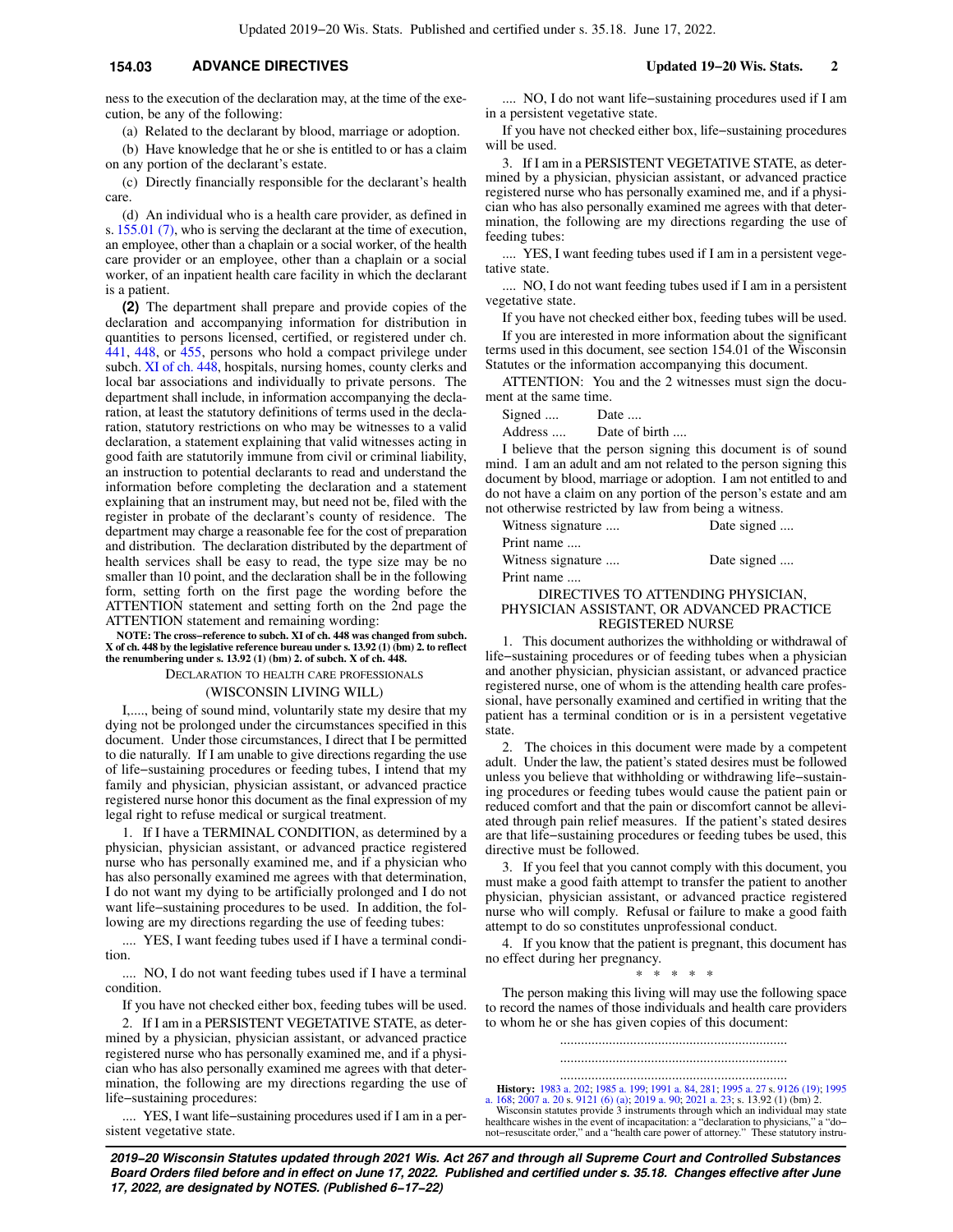# **154.03 ADVANCE DIRECTIVES Updated 19−20 Wis. Stats. 2**

ness to the execution of the declaration may, at the time of the execution, be any of the following:

(a) Related to the declarant by blood, marriage or adoption.

(b) Have knowledge that he or she is entitled to or has a claim on any portion of the declarant's estate.

(c) Directly financially responsible for the declarant's health care.

(d) An individual who is a health care provider, as defined in s. [155.01 \(7\),](https://docs.legis.wisconsin.gov/document/statutes/155.01(7)) who is serving the declarant at the time of execution, an employee, other than a chaplain or a social worker, of the health care provider or an employee, other than a chaplain or a social worker, of an inpatient health care facility in which the declarant is a patient.

**(2)** The department shall prepare and provide copies of the declaration and accompanying information for distribution in quantities to persons licensed, certified, or registered under ch. [441](https://docs.legis.wisconsin.gov/document/statutes/ch.%20441), [448](https://docs.legis.wisconsin.gov/document/statutes/ch.%20448), or [455,](https://docs.legis.wisconsin.gov/document/statutes/ch.%20455) persons who hold a compact privilege under subch. [XI of ch. 448,](https://docs.legis.wisconsin.gov/document/statutes/subch.%20XI%20of%20ch.%20448) hospitals, nursing homes, county clerks and local bar associations and individually to private persons. The department shall include, in information accompanying the declaration, at least the statutory definitions of terms used in the declaration, statutory restrictions on who may be witnesses to a valid declaration, a statement explaining that valid witnesses acting in good faith are statutorily immune from civil or criminal liability, an instruction to potential declarants to read and understand the information before completing the declaration and a statement explaining that an instrument may, but need not be, filed with the register in probate of the declarant's county of residence. The department may charge a reasonable fee for the cost of preparation and distribution. The declaration distributed by the department of health services shall be easy to read, the type size may be no smaller than 10 point, and the declaration shall be in the following form, setting forth on the first page the wording before the ATTENTION statement and setting forth on the 2nd page the ATTENTION statement and remaining wording:

**NOTE: The cross−reference to subch. XI of ch. 448 was changed from subch. X of ch. 448 by the legislative reference bureau under s. 13.92 (1) (bm) 2. to reflect the renumbering under s. 13.92 (1) (bm) 2. of subch. X of ch. 448.**

DECLARATION TO HEALTH CARE PROFESSIONALS

### (WISCONSIN LIVING WILL)

I,...., being of sound mind, voluntarily state my desire that my dying not be prolonged under the circumstances specified in this document. Under those circumstances, I direct that I be permitted to die naturally. If I am unable to give directions regarding the use of life−sustaining procedures or feeding tubes, I intend that my family and physician, physician assistant, or advanced practice registered nurse honor this document as the final expression of my legal right to refuse medical or surgical treatment.

1. If I have a TERMINAL CONDITION, as determined by a physician, physician assistant, or advanced practice registered nurse who has personally examined me, and if a physician who has also personally examined me agrees with that determination, I do not want my dying to be artificially prolonged and I do not want life−sustaining procedures to be used. In addition, the following are my directions regarding the use of feeding tubes:

.... YES, I want feeding tubes used if I have a terminal condition.

.... NO, I do not want feeding tubes used if I have a terminal condition.

If you have not checked either box, feeding tubes will be used.

2. If I am in a PERSISTENT VEGETATIVE STATE, as determined by a physician, physician assistant, or advanced practice registered nurse who has personally examined me, and if a physician who has also personally examined me agrees with that determination, the following are my directions regarding the use of life−sustaining procedures:

.... YES, I want life−sustaining procedures used if I am in a persistent vegetative state.

.... NO, I do not want life−sustaining procedures used if I am in a persistent vegetative state.

If you have not checked either box, life−sustaining procedures will be used.

3. If I am in a PERSISTENT VEGETATIVE STATE, as determined by a physician, physician assistant, or advanced practice registered nurse who has personally examined me, and if a physician who has also personally examined me agrees with that determination, the following are my directions regarding the use of feeding tubes:

.... YES, I want feeding tubes used if I am in a persistent vegetative state.

.... NO, I do not want feeding tubes used if I am in a persistent vegetative state.

If you have not checked either box, feeding tubes will be used. If you are interested in more information about the significant terms used in this document, see section 154.01 of the Wisconsin Statutes or the information accompanying this document.

ATTENTION: You and the 2 witnesses must sign the document at the same time.

Signed .... Date ....

Address .... Date of birth ....

I believe that the person signing this document is of sound mind. I am an adult and am not related to the person signing this document by blood, marriage or adoption. I am not entitled to and do not have a claim on any portion of the person's estate and am not otherwise restricted by law from being a witness.

Witness signature .... Date signed .... Print name .... Witness signature .... Date signed ....

Print name ....

### DIRECTIVES TO ATTENDING PHYSICIAN, PHYSICIAN ASSISTANT, OR ADVANCED PRACTICE REGISTERED NURSE

1. This document authorizes the withholding or withdrawal of life−sustaining procedures or of feeding tubes when a physician and another physician, physician assistant, or advanced practice registered nurse, one of whom is the attending health care professional, have personally examined and certified in writing that the patient has a terminal condition or is in a persistent vegetative state.

2. The choices in this document were made by a competent adult. Under the law, the patient's stated desires must be followed unless you believe that withholding or withdrawing life−sustaining procedures or feeding tubes would cause the patient pain or reduced comfort and that the pain or discomfort cannot be alleviated through pain relief measures. If the patient's stated desires are that life−sustaining procedures or feeding tubes be used, this directive must be followed.

3. If you feel that you cannot comply with this document, you must make a good faith attempt to transfer the patient to another physician, physician assistant, or advanced practice registered nurse who will comply. Refusal or failure to make a good faith attempt to do so constitutes unprofessional conduct.

4. If you know that the patient is pregnant, this document has no effect during her pregnancy.

\* \* \* \* \*

The person making this living will may use the following space to record the names of those individuals and health care providers to whom he or she has given copies of this document:

> ................................................................. .................................................................

................................................................. **History:** [1983 a. 202](https://docs.legis.wisconsin.gov/document/acts/1983/202); [1985 a. 199;](https://docs.legis.wisconsin.gov/document/acts/1985/199) [1991 a. 84,](https://docs.legis.wisconsin.gov/document/acts/1991/84) [281](https://docs.legis.wisconsin.gov/document/acts/1991/281); [1995 a. 27](https://docs.legis.wisconsin.gov/document/acts/1995/27) s. [9126 \(19\);](https://docs.legis.wisconsin.gov/document/acts/1995/27,%20s.%209126) [1995](https://docs.legis.wisconsin.gov/document/acts/1995/168) [a. 168](https://docs.legis.wisconsin.gov/document/acts/1995/168); 2007 a. 90; [2019 a. 90;](https://docs.legis.wisconsin.gov/document/acts/2019/90) [2021 a. 23](https://docs.legis.wisconsin.gov/document/acts/2021/23); s. 158; 2010 a. 90; 2021 a. 23; s. 13.92 (1) (bm) 2. 23; s. 13.92 (1) (bm) 2. 23; s. 13.92 (1) healthcare wishes in the event of incapacitation: a "declaration to physicians," a "do− not−resuscitate order," and a "health care power of attorney." These statutory instru-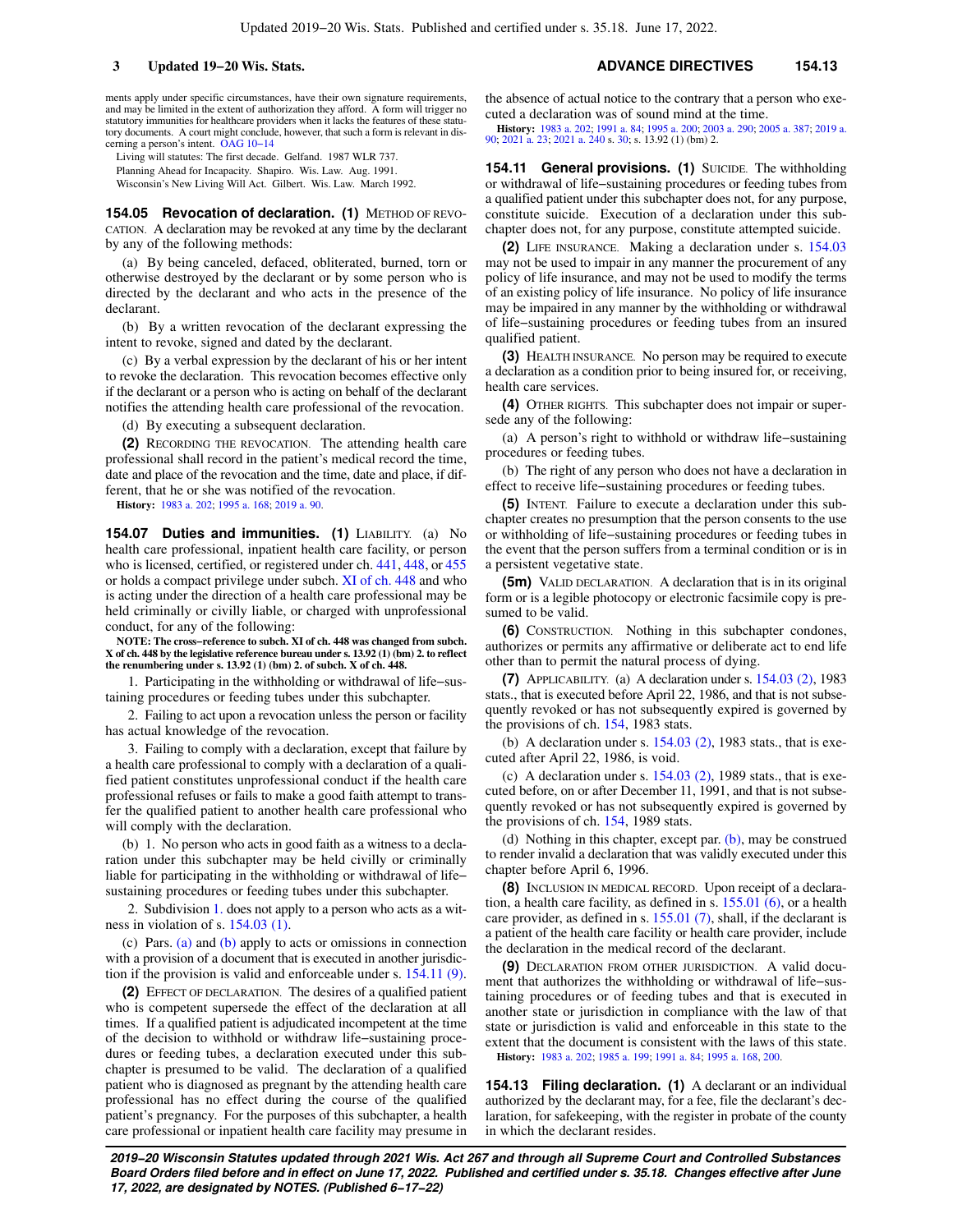ments apply under specific circumstances, have their own signature requirements, and may be limited in the extent of authorization they afford. A form will trigger no statutory immunities for healthcare providers when it lacks the features of these statutory documents. A court might conclude, however, that such a form is relevant in discerning a person's intent. [OAG 10−14](https://docs.legis.wisconsin.gov/document/oag/oag10-14)

Living will statutes: The first decade. Gelfand. 1987 WLR 737.

Planning Ahead for Incapacity. Shapiro. Wis. Law. Aug. 1991.

Wisconsin's New Living Will Act. Gilbert. Wis. Law. March 1992.

**154.05 Revocation of declaration. (1) METHOD OF REVO-**CATION. A declaration may be revoked at any time by the declarant by any of the following methods:

(a) By being canceled, defaced, obliterated, burned, torn or otherwise destroyed by the declarant or by some person who is directed by the declarant and who acts in the presence of the declarant.

(b) By a written revocation of the declarant expressing the intent to revoke, signed and dated by the declarant.

(c) By a verbal expression by the declarant of his or her intent to revoke the declaration. This revocation becomes effective only if the declarant or a person who is acting on behalf of the declarant notifies the attending health care professional of the revocation.

(d) By executing a subsequent declaration.

**(2)** RECORDING THE REVOCATION. The attending health care professional shall record in the patient's medical record the time, date and place of the revocation and the time, date and place, if different, that he or she was notified of the revocation.

**History:** [1983 a. 202](https://docs.legis.wisconsin.gov/document/acts/1983/202); [1995 a. 168](https://docs.legis.wisconsin.gov/document/acts/1995/168); [2019 a. 90](https://docs.legis.wisconsin.gov/document/acts/2019/90).

**154.07 Duties and immunities. (1)** LIABILITY. (a) No health care professional, inpatient health care facility, or person who is licensed, certified, or registered under ch. [441,](https://docs.legis.wisconsin.gov/document/statutes/ch.%20441) [448](https://docs.legis.wisconsin.gov/document/statutes/ch.%20448), or [455](https://docs.legis.wisconsin.gov/document/statutes/ch.%20455) or holds a compact privilege under subch. [XI of ch. 448](https://docs.legis.wisconsin.gov/document/statutes/subch.%20XI%20of%20ch.%20448) and who is acting under the direction of a health care professional may be held criminally or civilly liable, or charged with unprofessional conduct, for any of the following:

**NOTE: The cross−reference to subch. XI of ch. 448 was changed from subch. X of ch. 448 by the legislative reference bureau under s. 13.92 (1) (bm) 2. to reflect the renumbering under s. 13.92 (1) (bm) 2. of subch. X of ch. 448.**

1. Participating in the withholding or withdrawal of life−sustaining procedures or feeding tubes under this subchapter.

2. Failing to act upon a revocation unless the person or facility has actual knowledge of the revocation.

3. Failing to comply with a declaration, except that failure by a health care professional to comply with a declaration of a qualified patient constitutes unprofessional conduct if the health care professional refuses or fails to make a good faith attempt to transfer the qualified patient to another health care professional who will comply with the declaration.

(b) 1. No person who acts in good faith as a witness to a declaration under this subchapter may be held civilly or criminally liable for participating in the withholding or withdrawal of life− sustaining procedures or feeding tubes under this subchapter.

2. Subdivision [1.](https://docs.legis.wisconsin.gov/document/statutes/154.07(1)(b)1.) does not apply to a person who acts as a witness in violation of s.  $154.03$  (1).

(c) Pars. [\(a\)](https://docs.legis.wisconsin.gov/document/statutes/154.07(1)(a)) and [\(b\)](https://docs.legis.wisconsin.gov/document/statutes/154.07(1)(b)) apply to acts or omissions in connection with a provision of a document that is executed in another jurisdiction if the provision is valid and enforceable under s. [154.11 \(9\).](https://docs.legis.wisconsin.gov/document/statutes/154.11(9))

**(2)** EFFECT OF DECLARATION. The desires of a qualified patient who is competent supersede the effect of the declaration at all times. If a qualified patient is adjudicated incompetent at the time of the decision to withhold or withdraw life−sustaining procedures or feeding tubes, a declaration executed under this subchapter is presumed to be valid. The declaration of a qualified patient who is diagnosed as pregnant by the attending health care professional has no effect during the course of the qualified patient's pregnancy. For the purposes of this subchapter, a health care professional or inpatient health care facility may presume in

the absence of actual notice to the contrary that a person who executed a declaration was of sound mind at the time.

**History:** [1983 a. 202;](https://docs.legis.wisconsin.gov/document/acts/1983/202) [1991 a. 84](https://docs.legis.wisconsin.gov/document/acts/1991/84); [1995 a. 200](https://docs.legis.wisconsin.gov/document/acts/1995/200); [2003 a. 290](https://docs.legis.wisconsin.gov/document/acts/2003/290); [2005 a. 387](https://docs.legis.wisconsin.gov/document/acts/2005/387); [2019 a.](https://docs.legis.wisconsin.gov/document/acts/2019/90) [90](https://docs.legis.wisconsin.gov/document/acts/2019/90); [2021 a. 23](https://docs.legis.wisconsin.gov/document/acts/2021/23); [2021 a. 240](https://docs.legis.wisconsin.gov/document/acts/2021/240) s. [30;](https://docs.legis.wisconsin.gov/document/acts/2021/240,%20s.%2030) s. 13.92 (1) (bm) 2.

**154.11 General provisions. (1)** SUICIDE. The withholding or withdrawal of life−sustaining procedures or feeding tubes from a qualified patient under this subchapter does not, for any purpose, constitute suicide. Execution of a declaration under this subchapter does not, for any purpose, constitute attempted suicide.

**(2)** LIFE INSURANCE. Making a declaration under s. [154.03](https://docs.legis.wisconsin.gov/document/statutes/154.03) may not be used to impair in any manner the procurement of any policy of life insurance, and may not be used to modify the terms of an existing policy of life insurance. No policy of life insurance may be impaired in any manner by the withholding or withdrawal of life−sustaining procedures or feeding tubes from an insured qualified patient.

**(3)** HEALTH INSURANCE. No person may be required to execute a declaration as a condition prior to being insured for, or receiving, health care services.

**(4)** OTHER RIGHTS. This subchapter does not impair or supersede any of the following:

(a) A person's right to withhold or withdraw life−sustaining procedures or feeding tubes.

(b) The right of any person who does not have a declaration in effect to receive life−sustaining procedures or feeding tubes.

**(5)** INTENT. Failure to execute a declaration under this subchapter creates no presumption that the person consents to the use or withholding of life−sustaining procedures or feeding tubes in the event that the person suffers from a terminal condition or is in a persistent vegetative state.

**(5m)** VALID DECLARATION. A declaration that is in its original form or is a legible photocopy or electronic facsimile copy is presumed to be valid.

**(6)** CONSTRUCTION. Nothing in this subchapter condones, authorizes or permits any affirmative or deliberate act to end life other than to permit the natural process of dying.

**(7)** APPLICABILITY. (a) A declaration under s. [154.03 \(2\)](https://docs.legis.wisconsin.gov/document/statutes/1983/154.03(2)), 1983 stats., that is executed before April 22, 1986, and that is not subsequently revoked or has not subsequently expired is governed by the provisions of ch. [154,](https://docs.legis.wisconsin.gov/document/statutes/1983/ch.%20154) 1983 stats.

(b) A declaration under s.  $154.03$  (2), 1983 stats., that is executed after April 22, 1986, is void.

(c) A declaration under s.  $154.03$  (2), 1989 stats., that is executed before, on or after December 11, 1991, and that is not subsequently revoked or has not subsequently expired is governed by the provisions of ch. [154,](https://docs.legis.wisconsin.gov/document/statutes/1989/ch.%20154) 1989 stats.

(d) Nothing in this chapter, except par. [\(b\)](https://docs.legis.wisconsin.gov/document/statutes/154.11(7)(b)), may be construed to render invalid a declaration that was validly executed under this chapter before April 6, 1996.

**(8)** INCLUSION IN MEDICAL RECORD. Upon receipt of a declaration, a health care facility, as defined in s. [155.01 \(6\),](https://docs.legis.wisconsin.gov/document/statutes/155.01(6)) or a health care provider, as defined in s. [155.01 \(7\),](https://docs.legis.wisconsin.gov/document/statutes/155.01(7)) shall, if the declarant is a patient of the health care facility or health care provider, include the declaration in the medical record of the declarant.

**(9)** DECLARATION FROM OTHER JURISDICTION. A valid document that authorizes the withholding or withdrawal of life−sustaining procedures or of feeding tubes and that is executed in another state or jurisdiction in compliance with the law of that state or jurisdiction is valid and enforceable in this state to the extent that the document is consistent with the laws of this state. **History:** [1983 a. 202;](https://docs.legis.wisconsin.gov/document/acts/1983/202) [1985 a. 199](https://docs.legis.wisconsin.gov/document/acts/1985/199); [1991 a. 84](https://docs.legis.wisconsin.gov/document/acts/1991/84); [1995 a. 168](https://docs.legis.wisconsin.gov/document/acts/1995/168), [200](https://docs.legis.wisconsin.gov/document/acts/1995/200).

**154.13 Filing declaration. (1)** A declarant or an individual authorized by the declarant may, for a fee, file the declarant's declaration, for safekeeping, with the register in probate of the county in which the declarant resides.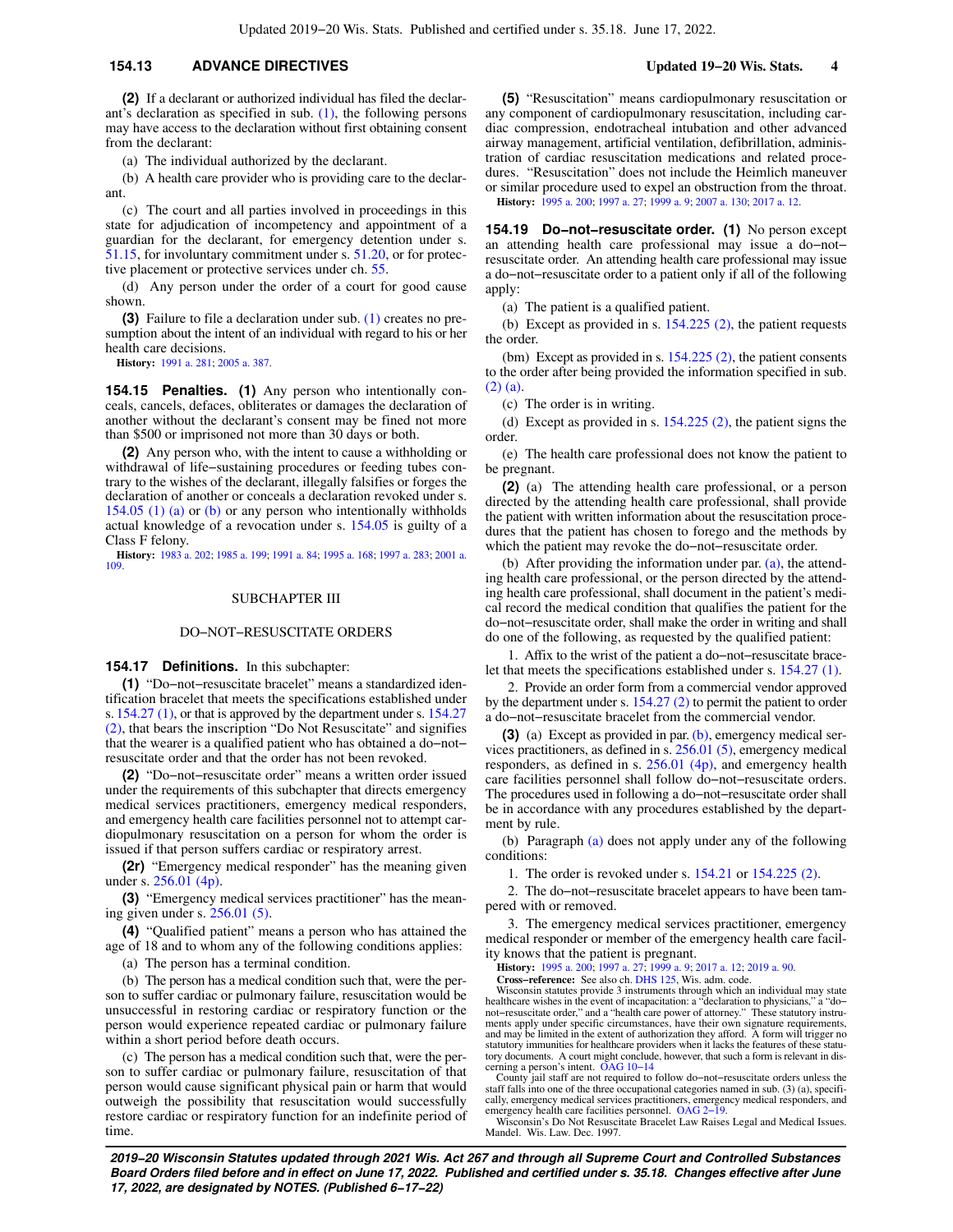## **154.13 ADVANCE DIRECTIVES Updated 19−20 Wis. Stats. 4**

**(2)** If a declarant or authorized individual has filed the declarant's declaration as specified in sub.  $(1)$ , the following persons may have access to the declaration without first obtaining consent from the declarant:

(a) The individual authorized by the declarant.

A health care provider who is providing care to the declarant.

(c) The court and all parties involved in proceedings in this state for adjudication of incompetency and appointment of a guardian for the declarant, for emergency detention under s. [51.15](https://docs.legis.wisconsin.gov/document/statutes/51.15), for involuntary commitment under s. [51.20,](https://docs.legis.wisconsin.gov/document/statutes/51.20) or for protective placement or protective services under ch. [55.](https://docs.legis.wisconsin.gov/document/statutes/ch.%2055)

(d) Any person under the order of a court for good cause shown.

**(3)** Failure to file a declaration under sub. [\(1\)](https://docs.legis.wisconsin.gov/document/statutes/154.13(1)) creates no presumption about the intent of an individual with regard to his or her health care decisions.

**History:** [1991 a. 281](https://docs.legis.wisconsin.gov/document/acts/1991/281); [2005 a. 387](https://docs.legis.wisconsin.gov/document/acts/2005/387).

**154.15 Penalties. (1)** Any person who intentionally conceals, cancels, defaces, obliterates or damages the declaration of another without the declarant's consent may be fined not more than \$500 or imprisoned not more than 30 days or both.

**(2)** Any person who, with the intent to cause a withholding or withdrawal of life−sustaining procedures or feeding tubes contrary to the wishes of the declarant, illegally falsifies or forges the declaration of another or conceals a declaration revoked under s. [154.05 \(1\) \(a\)](https://docs.legis.wisconsin.gov/document/statutes/154.05(1)(a)) or [\(b\)](https://docs.legis.wisconsin.gov/document/statutes/154.05(1)(b)) or any person who intentionally withholds actual knowledge of a revocation under s. [154.05](https://docs.legis.wisconsin.gov/document/statutes/154.05) is guilty of a Class F felony.

**History:** [1983 a. 202](https://docs.legis.wisconsin.gov/document/acts/1983/202); [1985 a. 199](https://docs.legis.wisconsin.gov/document/acts/1985/199); [1991 a. 84;](https://docs.legis.wisconsin.gov/document/acts/1991/84) [1995 a. 168;](https://docs.legis.wisconsin.gov/document/acts/1995/168) [1997 a. 283](https://docs.legis.wisconsin.gov/document/acts/1997/283); [2001 a.](https://docs.legis.wisconsin.gov/document/acts/2001/109) [109](https://docs.legis.wisconsin.gov/document/acts/2001/109).

#### SUBCHAPTER III

## DO−NOT−RESUSCITATE ORDERS

## **154.17 Definitions.** In this subchapter:

**(1)** "Do−not−resuscitate bracelet" means a standardized identification bracelet that meets the specifications established under s. [154.27 \(1\),](https://docs.legis.wisconsin.gov/document/statutes/154.27(1)) or that is approved by the department under s. [154.27](https://docs.legis.wisconsin.gov/document/statutes/154.27(2)) [\(2\)](https://docs.legis.wisconsin.gov/document/statutes/154.27(2)), that bears the inscription "Do Not Resuscitate" and signifies that the wearer is a qualified patient who has obtained a do−not− resuscitate order and that the order has not been revoked.

**(2)** "Do−not−resuscitate order" means a written order issued under the requirements of this subchapter that directs emergency medical services practitioners, emergency medical responders, and emergency health care facilities personnel not to attempt cardiopulmonary resuscitation on a person for whom the order is issued if that person suffers cardiac or respiratory arrest.

**(2r)** "Emergency medical responder" has the meaning given under s. [256.01 \(4p\).](https://docs.legis.wisconsin.gov/document/statutes/256.01(4p))

**(3)** "Emergency medical services practitioner" has the meaning given under s. [256.01 \(5\).](https://docs.legis.wisconsin.gov/document/statutes/256.01(5))

**(4)** "Qualified patient" means a person who has attained the age of 18 and to whom any of the following conditions applies:

(a) The person has a terminal condition.

(b) The person has a medical condition such that, were the person to suffer cardiac or pulmonary failure, resuscitation would be unsuccessful in restoring cardiac or respiratory function or the person would experience repeated cardiac or pulmonary failure within a short period before death occurs.

(c) The person has a medical condition such that, were the person to suffer cardiac or pulmonary failure, resuscitation of that person would cause significant physical pain or harm that would outweigh the possibility that resuscitation would successfully restore cardiac or respiratory function for an indefinite period of time.

**(5)** "Resuscitation" means cardiopulmonary resuscitation or any component of cardiopulmonary resuscitation, including cardiac compression, endotracheal intubation and other advanced airway management, artificial ventilation, defibrillation, administration of cardiac resuscitation medications and related procedures. "Resuscitation" does not include the Heimlich maneuver or similar procedure used to expel an obstruction from the throat. **History:** [1995 a. 200;](https://docs.legis.wisconsin.gov/document/acts/1995/200) [1997 a. 27;](https://docs.legis.wisconsin.gov/document/acts/1997/27) [1999 a. 9](https://docs.legis.wisconsin.gov/document/acts/1999/9); [2007 a. 130](https://docs.legis.wisconsin.gov/document/acts/2007/130); [2017 a. 12](https://docs.legis.wisconsin.gov/document/acts/2017/12).

**154.19 Do−not−resuscitate order. (1)** No person except an attending health care professional may issue a do−not− resuscitate order. An attending health care professional may issue a do−not−resuscitate order to a patient only if all of the following apply:

(a) The patient is a qualified patient.

(b) Except as provided in s. [154.225 \(2\),](https://docs.legis.wisconsin.gov/document/statutes/154.225(2)) the patient requests the order.

(bm) Except as provided in s. [154.225 \(2\)](https://docs.legis.wisconsin.gov/document/statutes/154.225(2)), the patient consents to the order after being provided the information specified in sub. [\(2\) \(a\).](https://docs.legis.wisconsin.gov/document/statutes/154.19(2)(a))

(c) The order is in writing.

(d) Except as provided in s.  $154.225$  (2), the patient signs the order.

(e) The health care professional does not know the patient to be pregnant.

**(2)** (a) The attending health care professional, or a person directed by the attending health care professional, shall provide the patient with written information about the resuscitation procedures that the patient has chosen to forego and the methods by which the patient may revoke the do−not−resuscitate order.

(b) After providing the information under par. [\(a\),](https://docs.legis.wisconsin.gov/document/statutes/154.19(2)(a)) the attending health care professional, or the person directed by the attending health care professional, shall document in the patient's medical record the medical condition that qualifies the patient for the do−not−resuscitate order, shall make the order in writing and shall do one of the following, as requested by the qualified patient:

1. Affix to the wrist of the patient a do−not−resuscitate bracelet that meets the specifications established under s. [154.27 \(1\).](https://docs.legis.wisconsin.gov/document/statutes/154.27(1))

2. Provide an order form from a commercial vendor approved by the department under s. [154.27 \(2\)](https://docs.legis.wisconsin.gov/document/statutes/154.27(2)) to permit the patient to order a do−not−resuscitate bracelet from the commercial vendor.

**(3)** (a) Except as provided in par. [\(b\)](https://docs.legis.wisconsin.gov/document/statutes/154.19(3)(b)), emergency medical services practitioners, as defined in s. [256.01 \(5\),](https://docs.legis.wisconsin.gov/document/statutes/256.01(5)) emergency medical responders, as defined in s. [256.01 \(4p\)](https://docs.legis.wisconsin.gov/document/statutes/256.01(4p)), and emergency health care facilities personnel shall follow do−not−resuscitate orders. The procedures used in following a do−not−resuscitate order shall be in accordance with any procedures established by the department by rule.

(b) Paragraph [\(a\)](https://docs.legis.wisconsin.gov/document/statutes/154.19(3)(a)) does not apply under any of the following conditions:

1. The order is revoked under s. [154.21](https://docs.legis.wisconsin.gov/document/statutes/154.21) or [154.225 \(2\)](https://docs.legis.wisconsin.gov/document/statutes/154.225(2)).

2. The do−not−resuscitate bracelet appears to have been tampered with or removed.

3. The emergency medical services practitioner, emergency medical responder or member of the emergency health care facility knows that the patient is pregnant.

**History:** [1995 a. 200;](https://docs.legis.wisconsin.gov/document/acts/1995/200) [1997 a. 27;](https://docs.legis.wisconsin.gov/document/acts/1997/27) [1999 a. 9](https://docs.legis.wisconsin.gov/document/acts/1999/9); [2017 a. 12;](https://docs.legis.wisconsin.gov/document/acts/2017/12) [2019 a. 90.](https://docs.legis.wisconsin.gov/document/acts/2019/90)

**Cross−reference:** See also ch. [DHS 125,](https://docs.legis.wisconsin.gov/document/administrativecode/ch.%20DHS%20125) Wis. adm. code. Wisconsin statutes provide 3 instruments through which an individual may state healthcare wishes in the event of incapacitation: a "declaration to physicians," a "do− not−resuscitate order," and a "health care power of attorney." These statutory instru-ments apply under specific circumstances, have their own signature requirements, and may be limited in the extent of authorization they afford. A form will trigger no<br>statutory immunities for healthcare providers when it lacks the features of these statu-<br>tory documents. A court might conclude, however cerning a person's intent. [OAG 10−14](https://docs.legis.wisconsin.gov/document/oag/oag10-14)

County jail staff are not required to follow do−not−resuscitate orders unless the staff falls into one of the three occupational categories named in sub. (3) (a), specifically, emergency medical services practitioners, emergency medical responders, and emergency health care facilities personnel. [OAG 2−19](https://docs.legis.wisconsin.gov/document/oag/oag2-19).

Wisconsin's Do Not Resuscitate Bracelet Law Raises Legal and Medical Issues. Mandel. Wis. Law. Dec. 1997.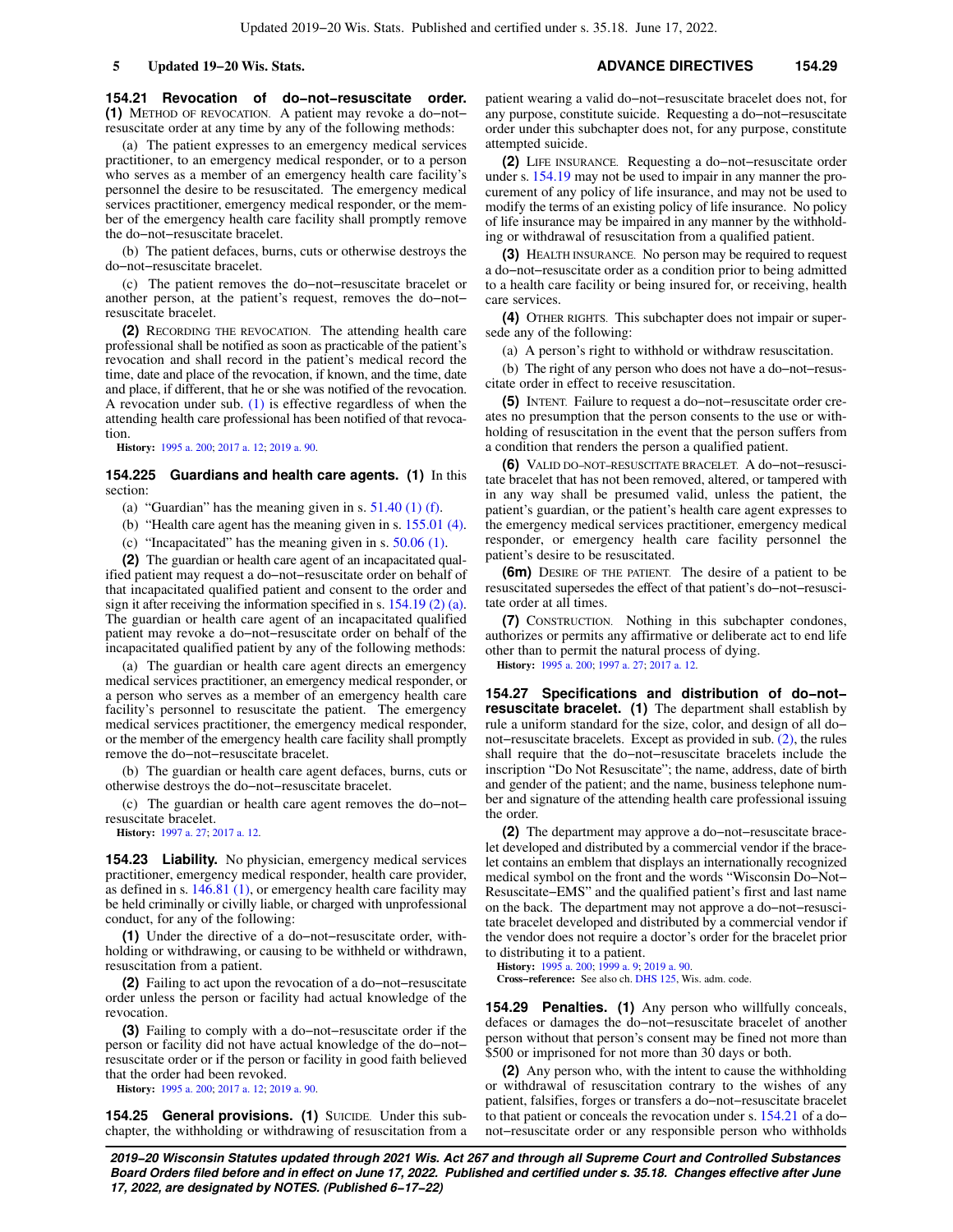**154.21 Revocation of do−not−resuscitate order. (1)** METHOD OF REVOCATION. A patient may revoke a do−not− resuscitate order at any time by any of the following methods:

(a) The patient expresses to an emergency medical services practitioner, to an emergency medical responder, or to a person who serves as a member of an emergency health care facility's personnel the desire to be resuscitated. The emergency medical services practitioner, emergency medical responder, or the member of the emergency health care facility shall promptly remove the do−not−resuscitate bracelet.

(b) The patient defaces, burns, cuts or otherwise destroys the do−not−resuscitate bracelet.

(c) The patient removes the do−not−resuscitate bracelet or another person, at the patient's request, removes the do−not− resuscitate bracelet.

**(2)** RECORDING THE REVOCATION. The attending health care professional shall be notified as soon as practicable of the patient's revocation and shall record in the patient's medical record the time, date and place of the revocation, if known, and the time, date and place, if different, that he or she was notified of the revocation. A revocation under sub. [\(1\)](https://docs.legis.wisconsin.gov/document/statutes/154.21(1)) is effective regardless of when the attending health care professional has been notified of that revocation.

**History:** [1995 a. 200](https://docs.legis.wisconsin.gov/document/acts/1995/200); [2017 a. 12;](https://docs.legis.wisconsin.gov/document/acts/2017/12) [2019 a. 90.](https://docs.legis.wisconsin.gov/document/acts/2019/90)

**154.225 Guardians and health care agents. (1)** In this section:

(a) "Guardian" has the meaning given in s.  $51.40$  (1) (f).

(b) "Health care agent has the meaning given in s. [155.01 \(4\).](https://docs.legis.wisconsin.gov/document/statutes/155.01(4))

(c) "Incapacitated" has the meaning given in s. [50.06 \(1\).](https://docs.legis.wisconsin.gov/document/statutes/50.06(1))

**(2)** The guardian or health care agent of an incapacitated qualified patient may request a do−not−resuscitate order on behalf of that incapacitated qualified patient and consent to the order and sign it after receiving the information specified in s. [154.19 \(2\) \(a\).](https://docs.legis.wisconsin.gov/document/statutes/154.19(2)(a)) The guardian or health care agent of an incapacitated qualified patient may revoke a do−not−resuscitate order on behalf of the incapacitated qualified patient by any of the following methods:

(a) The guardian or health care agent directs an emergency medical services practitioner, an emergency medical responder, or a person who serves as a member of an emergency health care facility's personnel to resuscitate the patient. The emergency medical services practitioner, the emergency medical responder, or the member of the emergency health care facility shall promptly remove the do−not−resuscitate bracelet.

(b) The guardian or health care agent defaces, burns, cuts or otherwise destroys the do−not−resuscitate bracelet.

(c) The guardian or health care agent removes the do−not− resuscitate bracelet.

**History:** [1997 a. 27;](https://docs.legis.wisconsin.gov/document/acts/1997/27) [2017 a. 12.](https://docs.legis.wisconsin.gov/document/acts/2017/12)

**154.23 Liability.** No physician, emergency medical services practitioner, emergency medical responder, health care provider, as defined in s. [146.81 \(1\),](https://docs.legis.wisconsin.gov/document/statutes/146.81(1)) or emergency health care facility may be held criminally or civilly liable, or charged with unprofessional conduct, for any of the following:

**(1)** Under the directive of a do−not−resuscitate order, withholding or withdrawing, or causing to be withheld or withdrawn, resuscitation from a patient.

**(2)** Failing to act upon the revocation of a do−not−resuscitate order unless the person or facility had actual knowledge of the revocation.

**(3)** Failing to comply with a do−not−resuscitate order if the person or facility did not have actual knowledge of the do−not− resuscitate order or if the person or facility in good faith believed that the order had been revoked.

**History:** [1995 a. 200](https://docs.legis.wisconsin.gov/document/acts/1995/200); [2017 a. 12;](https://docs.legis.wisconsin.gov/document/acts/2017/12) [2019 a. 90.](https://docs.legis.wisconsin.gov/document/acts/2019/90)

**154.25 General provisions. (1)** SUICIDE. Under this subchapter, the withholding or withdrawing of resuscitation from a patient wearing a valid do−not−resuscitate bracelet does not, for any purpose, constitute suicide. Requesting a do−not−resuscitate order under this subchapter does not, for any purpose, constitute attempted suicide.

**(2)** LIFE INSURANCE. Requesting a do−not−resuscitate order under s. [154.19](https://docs.legis.wisconsin.gov/document/statutes/154.19) may not be used to impair in any manner the procurement of any policy of life insurance, and may not be used to modify the terms of an existing policy of life insurance. No policy of life insurance may be impaired in any manner by the withholding or withdrawal of resuscitation from a qualified patient.

**(3)** HEALTH INSURANCE. No person may be required to request a do−not−resuscitate order as a condition prior to being admitted to a health care facility or being insured for, or receiving, health care services.

**(4)** OTHER RIGHTS. This subchapter does not impair or supersede any of the following:

(a) A person's right to withhold or withdraw resuscitation.

(b) The right of any person who does not have a do−not−resuscitate order in effect to receive resuscitation.

**(5)** INTENT. Failure to request a do−not−resuscitate order creates no presumption that the person consents to the use or withholding of resuscitation in the event that the person suffers from a condition that renders the person a qualified patient.

**(6)** VALID DO−NOT−RESUSCITATE BRACELET. A do−not−resuscitate bracelet that has not been removed, altered, or tampered with in any way shall be presumed valid, unless the patient, the patient's guardian, or the patient's health care agent expresses to the emergency medical services practitioner, emergency medical responder, or emergency health care facility personnel the patient's desire to be resuscitated.

**(6m)** DESIRE OF THE PATIENT. The desire of a patient to be resuscitated supersedes the effect of that patient's do−not−resuscitate order at all times.

**(7)** CONSTRUCTION. Nothing in this subchapter condones, authorizes or permits any affirmative or deliberate act to end life other than to permit the natural process of dying.

**History:** [1995 a. 200;](https://docs.legis.wisconsin.gov/document/acts/1995/200) [1997 a. 27;](https://docs.legis.wisconsin.gov/document/acts/1997/27) [2017 a. 12.](https://docs.legis.wisconsin.gov/document/acts/2017/12)

**154.27 Specifications and distribution of do−not− resuscitate bracelet. (1)** The department shall establish by rule a uniform standard for the size, color, and design of all do− not−resuscitate bracelets. Except as provided in sub. [\(2\)](https://docs.legis.wisconsin.gov/document/statutes/154.27(2)), the rules shall require that the do−not−resuscitate bracelets include the inscription "Do Not Resuscitate"; the name, address, date of birth and gender of the patient; and the name, business telephone number and signature of the attending health care professional issuing the order.

**(2)** The department may approve a do−not−resuscitate bracelet developed and distributed by a commercial vendor if the bracelet contains an emblem that displays an internationally recognized medical symbol on the front and the words "Wisconsin Do−Not− Resuscitate−EMS" and the qualified patient's first and last name on the back. The department may not approve a do−not−resuscitate bracelet developed and distributed by a commercial vendor if the vendor does not require a doctor's order for the bracelet prior to distributing it to a patient.

**History:** [1995 a. 200;](https://docs.legis.wisconsin.gov/document/acts/1995/200) [1999 a. 9](https://docs.legis.wisconsin.gov/document/acts/1999/9); [2019 a. 90](https://docs.legis.wisconsin.gov/document/acts/2019/90). **Cross−reference:** See also ch. [DHS 125,](https://docs.legis.wisconsin.gov/document/administrativecode/ch.%20DHS%20125) Wis. adm. code.

**154.29 Penalties. (1)** Any person who willfully conceals, defaces or damages the do−not−resuscitate bracelet of another person without that person's consent may be fined not more than \$500 or imprisoned for not more than 30 days or both.

**(2)** Any person who, with the intent to cause the withholding or withdrawal of resuscitation contrary to the wishes of any patient, falsifies, forges or transfers a do−not−resuscitate bracelet to that patient or conceals the revocation under s. [154.21](https://docs.legis.wisconsin.gov/document/statutes/154.21) of a do− not−resuscitate order or any responsible person who withholds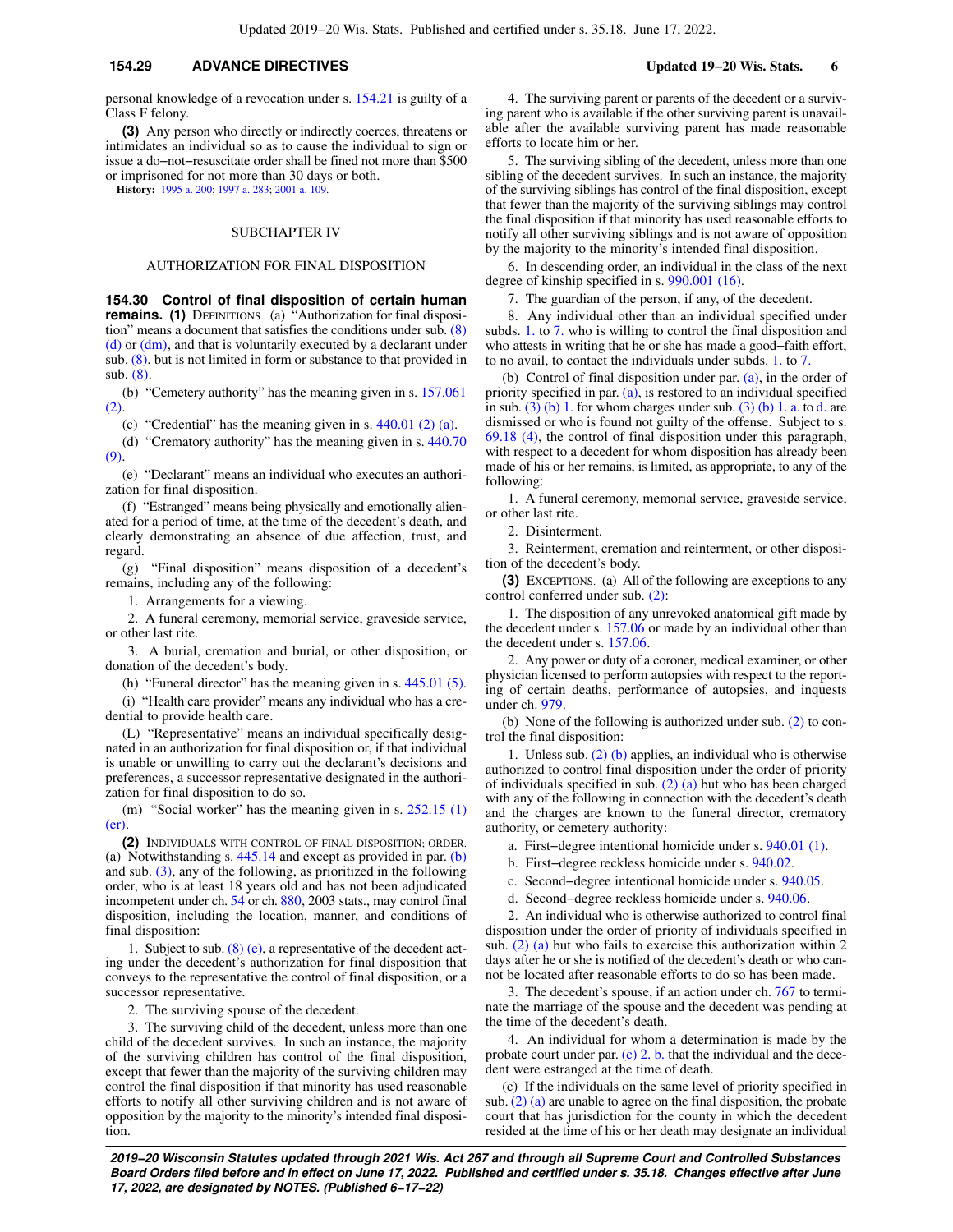## **154.29 ADVANCE DIRECTIVES Updated 19−20 Wis. Stats. 6**

personal knowledge of a revocation under s. [154.21](https://docs.legis.wisconsin.gov/document/statutes/154.21) is guilty of a Class F felony.

**(3)** Any person who directly or indirectly coerces, threatens or intimidates an individual so as to cause the individual to sign or issue a do−not−resuscitate order shall be fined not more than \$500 or imprisoned for not more than 30 days or both.

**History:** [1995 a. 200](https://docs.legis.wisconsin.gov/document/acts/1995/200); [1997 a. 283](https://docs.legis.wisconsin.gov/document/acts/1997/283); [2001 a. 109.](https://docs.legis.wisconsin.gov/document/acts/2001/109)

### SUBCHAPTER IV

#### AUTHORIZATION FOR FINAL DISPOSITION

**154.30 Control of final disposition of certain human remains.** (1) DEFINITIONS. (a) "Authorization for final disposition" means a document that satisfies the conditions under sub. [\(8\)](https://docs.legis.wisconsin.gov/document/statutes/154.30(8)(d))  $(d)$  or  $(dm)$ , and that is voluntarily executed by a declarant under sub. [\(8\),](https://docs.legis.wisconsin.gov/document/statutes/154.30(8)) but is not limited in form or substance to that provided in sub. [\(8\)](https://docs.legis.wisconsin.gov/document/statutes/154.30(8)).

(b) "Cemetery authority" has the meaning given in s. [157.061](https://docs.legis.wisconsin.gov/document/statutes/157.061(2)) [\(2\)](https://docs.legis.wisconsin.gov/document/statutes/157.061(2)).

(c) "Credential" has the meaning given in s. [440.01 \(2\) \(a\)](https://docs.legis.wisconsin.gov/document/statutes/440.01(2)(a)).

(d) "Crematory authority" has the meaning given in s. [440.70](https://docs.legis.wisconsin.gov/document/statutes/440.70(9)) [\(9\)](https://docs.legis.wisconsin.gov/document/statutes/440.70(9)).

(e) "Declarant" means an individual who executes an authorization for final disposition.

(f) "Estranged" means being physically and emotionally alienated for a period of time, at the time of the decedent's death, and clearly demonstrating an absence of due affection, trust, and regard.

(g) "Final disposition" means disposition of a decedent's remains, including any of the following:

1. Arrangements for a viewing.

2. A funeral ceremony, memorial service, graveside service, or other last rite.

3. A burial, cremation and burial, or other disposition, or donation of the decedent's body.

(h) "Funeral director" has the meaning given in s. [445.01 \(5\).](https://docs.legis.wisconsin.gov/document/statutes/445.01(5))

(i) "Health care provider" means any individual who has a credential to provide health care.

(L) "Representative" means an individual specifically designated in an authorization for final disposition or, if that individual is unable or unwilling to carry out the declarant's decisions and preferences, a successor representative designated in the authorization for final disposition to do so.

(m) "Social worker" has the meaning given in s. [252.15 \(1\)](https://docs.legis.wisconsin.gov/document/statutes/252.15(1)(er)) [\(er\).](https://docs.legis.wisconsin.gov/document/statutes/252.15(1)(er))

**(2)** INDIVIDUALS WITH CONTROL OF FINAL DISPOSITION; ORDER. (a) Notwithstanding s.  $445.14$  and except as provided in par. [\(b\)](https://docs.legis.wisconsin.gov/document/statutes/154.30(2)(b)) and sub. [\(3\),](https://docs.legis.wisconsin.gov/document/statutes/154.30(3)) any of the following, as prioritized in the following order, who is at least 18 years old and has not been adjudicated incompetent under ch. [54](https://docs.legis.wisconsin.gov/document/statutes/ch.%2054) or ch. [880,](https://docs.legis.wisconsin.gov/document/statutes/2003/ch.%20880) 2003 stats., may control final disposition, including the location, manner, and conditions of final disposition:

1. Subject to sub. [\(8\) \(e\),](https://docs.legis.wisconsin.gov/document/statutes/154.30(8)(e)) a representative of the decedent acting under the decedent's authorization for final disposition that conveys to the representative the control of final disposition, or a successor representative.

2. The surviving spouse of the decedent.

3. The surviving child of the decedent, unless more than one child of the decedent survives. In such an instance, the majority of the surviving children has control of the final disposition, except that fewer than the majority of the surviving children may control the final disposition if that minority has used reasonable efforts to notify all other surviving children and is not aware of opposition by the majority to the minority's intended final disposition.

4. The surviving parent or parents of the decedent or a surviving parent who is available if the other surviving parent is unavailable after the available surviving parent has made reasonable efforts to locate him or her.

5. The surviving sibling of the decedent, unless more than one sibling of the decedent survives. In such an instance, the majority of the surviving siblings has control of the final disposition, except that fewer than the majority of the surviving siblings may control the final disposition if that minority has used reasonable efforts to notify all other surviving siblings and is not aware of opposition by the majority to the minority's intended final disposition.

6. In descending order, an individual in the class of the next degree of kinship specified in s. [990.001 \(16\)](https://docs.legis.wisconsin.gov/document/statutes/990.001(16)).

7. The guardian of the person, if any, of the decedent.

8. Any individual other than an individual specified under subds. [1.](https://docs.legis.wisconsin.gov/document/statutes/154.30(2)(a)1.) to [7.](https://docs.legis.wisconsin.gov/document/statutes/154.30(2)(a)7.) who is willing to control the final disposition and who attests in writing that he or she has made a good−faith effort, to no avail, to contact the individuals under subds. [1.](https://docs.legis.wisconsin.gov/document/statutes/154.30(2)(a)1.) to [7.](https://docs.legis.wisconsin.gov/document/statutes/154.30(2)(a)7.)

(b) Control of final disposition under par. [\(a\),](https://docs.legis.wisconsin.gov/document/statutes/154.30(2)(a)) in the order of priority specified in par. [\(a\)](https://docs.legis.wisconsin.gov/document/statutes/154.30(2)(a)), is restored to an individual specified in sub.  $(3)$  (b) 1. for whom charges under sub.  $(3)$  (b) 1. a. to [d.](https://docs.legis.wisconsin.gov/document/statutes/154.30(3)(b)1.d.) are dismissed or who is found not guilty of the offense. Subject to s. [69.18 \(4\),](https://docs.legis.wisconsin.gov/document/statutes/69.18(4)) the control of final disposition under this paragraph, with respect to a decedent for whom disposition has already been made of his or her remains, is limited, as appropriate, to any of the following:

1. A funeral ceremony, memorial service, graveside service, or other last rite.

2. Disinterment.

3. Reinterment, cremation and reinterment, or other disposition of the decedent's body.

**(3)** EXCEPTIONS. (a) All of the following are exceptions to any control conferred under sub. [\(2\)](https://docs.legis.wisconsin.gov/document/statutes/154.30(2)):

1. The disposition of any unrevoked anatomical gift made by the decedent under s. [157.06](https://docs.legis.wisconsin.gov/document/statutes/157.06) or made by an individual other than the decedent under s. [157.06.](https://docs.legis.wisconsin.gov/document/statutes/157.06)

2. Any power or duty of a coroner, medical examiner, or other physician licensed to perform autopsies with respect to the reporting of certain deaths, performance of autopsies, and inquests under ch. [979.](https://docs.legis.wisconsin.gov/document/statutes/ch.%20979)

(b) None of the following is authorized under sub. [\(2\)](https://docs.legis.wisconsin.gov/document/statutes/154.30(2)) to control the final disposition:

1. Unless sub. [\(2\) \(b\)](https://docs.legis.wisconsin.gov/document/statutes/154.30(2)(b)) applies, an individual who is otherwise authorized to control final disposition under the order of priority of individuals specified in sub. [\(2\) \(a\)](https://docs.legis.wisconsin.gov/document/statutes/154.30(2)(a)) but who has been charged with any of the following in connection with the decedent's death and the charges are known to the funeral director, crematory authority, or cemetery authority:

a. First−degree intentional homicide under s. [940.01 \(1\)](https://docs.legis.wisconsin.gov/document/statutes/940.01(1)).

b. First−degree reckless homicide under s. [940.02](https://docs.legis.wisconsin.gov/document/statutes/940.02).

c. Second−degree intentional homicide under s. [940.05.](https://docs.legis.wisconsin.gov/document/statutes/940.05)

d. Second−degree reckless homicide under s. [940.06.](https://docs.legis.wisconsin.gov/document/statutes/940.06)

2. An individual who is otherwise authorized to control final disposition under the order of priority of individuals specified in sub. [\(2\) \(a\)](https://docs.legis.wisconsin.gov/document/statutes/154.30(2)(a)) but who fails to exercise this authorization within 2 days after he or she is notified of the decedent's death or who cannot be located after reasonable efforts to do so has been made.

3. The decedent's spouse, if an action under ch. [767](https://docs.legis.wisconsin.gov/document/statutes/ch.%20767) to terminate the marriage of the spouse and the decedent was pending at the time of the decedent's death.

4. An individual for whom a determination is made by the probate court under par. [\(c\) 2. b.](https://docs.legis.wisconsin.gov/document/statutes/154.30(3)(c)2.b.) that the individual and the decedent were estranged at the time of death.

(c) If the individuals on the same level of priority specified in sub. [\(2\) \(a\)](https://docs.legis.wisconsin.gov/document/statutes/154.30(2)(a)) are unable to agree on the final disposition, the probate court that has jurisdiction for the county in which the decedent resided at the time of his or her death may designate an individual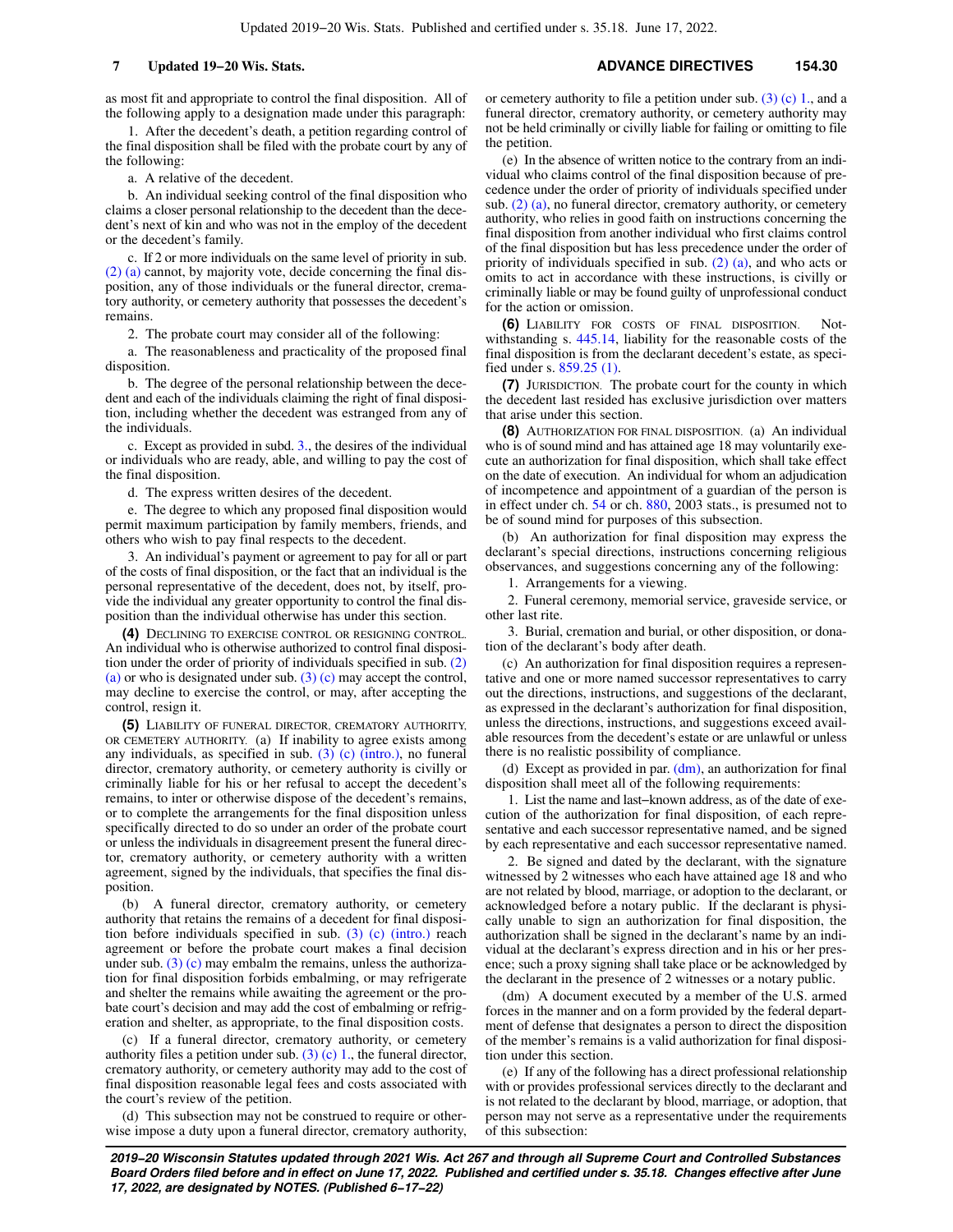as most fit and appropriate to control the final disposition. All of the following apply to a designation made under this paragraph:

1. After the decedent's death, a petition regarding control of the final disposition shall be filed with the probate court by any of the following:

a. A relative of the decedent.

b. An individual seeking control of the final disposition who claims a closer personal relationship to the decedent than the decedent's next of kin and who was not in the employ of the decedent or the decedent's family.

c. If 2 or more individuals on the same level of priority in sub. [\(2\) \(a\)](https://docs.legis.wisconsin.gov/document/statutes/154.30(2)(a)) cannot, by majority vote, decide concerning the final disposition, any of those individuals or the funeral director, crematory authority, or cemetery authority that possesses the decedent's remains.

2. The probate court may consider all of the following:

a. The reasonableness and practicality of the proposed final disposition.

b. The degree of the personal relationship between the decedent and each of the individuals claiming the right of final disposition, including whether the decedent was estranged from any of the individuals.

c. Except as provided in subd. [3.](https://docs.legis.wisconsin.gov/document/statutes/154.30(3)(c)3.), the desires of the individual or individuals who are ready, able, and willing to pay the cost of the final disposition.

d. The express written desires of the decedent.

e. The degree to which any proposed final disposition would permit maximum participation by family members, friends, and others who wish to pay final respects to the decedent.

3. An individual's payment or agreement to pay for all or part of the costs of final disposition, or the fact that an individual is the personal representative of the decedent, does not, by itself, provide the individual any greater opportunity to control the final disposition than the individual otherwise has under this section.

**(4)** DECLINING TO EXERCISE CONTROL OR RESIGNING CONTROL. An individual who is otherwise authorized to control final disposition under the order of priority of individuals specified in sub. [\(2\)](https://docs.legis.wisconsin.gov/document/statutes/154.30(2)(a)) [\(a\)](https://docs.legis.wisconsin.gov/document/statutes/154.30(2)(a)) or who is designated under sub. [\(3\) \(c\)](https://docs.legis.wisconsin.gov/document/statutes/154.30(3)(c)) may accept the control, may decline to exercise the control, or may, after accepting the control, resign it.

**(5)** LIABILITY OF FUNERAL DIRECTOR, CREMATORY AUTHORITY, OR CEMETERY AUTHORITY. (a) If inability to agree exists among any individuals, as specified in sub.  $(3)$  (c) (intro.), no funeral director, crematory authority, or cemetery authority is civilly or criminally liable for his or her refusal to accept the decedent's remains, to inter or otherwise dispose of the decedent's remains, or to complete the arrangements for the final disposition unless specifically directed to do so under an order of the probate court or unless the individuals in disagreement present the funeral director, crematory authority, or cemetery authority with a written agreement, signed by the individuals, that specifies the final disposition.

(b) A funeral director, crematory authority, or cemetery authority that retains the remains of a decedent for final disposition before individuals specified in sub. [\(3\) \(c\) \(intro.\)](https://docs.legis.wisconsin.gov/document/statutes/154.30(3)(c)(intro.)) reach agreement or before the probate court makes a final decision under sub.  $(3)$  (c) may embalm the remains, unless the authorization for final disposition forbids embalming, or may refrigerate and shelter the remains while awaiting the agreement or the probate court's decision and may add the cost of embalming or refrigeration and shelter, as appropriate, to the final disposition costs.

(c) If a funeral director, crematory authority, or cemetery authority files a petition under sub.  $(3)$  (c) 1, the funeral director, crematory authority, or cemetery authority may add to the cost of final disposition reasonable legal fees and costs associated with the court's review of the petition.

(d) This subsection may not be construed to require or otherwise impose a duty upon a funeral director, crematory authority, or cemetery authority to file a petition under sub.  $(3)$  (c) 1., and a funeral director, crematory authority, or cemetery authority may not be held criminally or civilly liable for failing or omitting to file the petition.

(e) In the absence of written notice to the contrary from an individual who claims control of the final disposition because of precedence under the order of priority of individuals specified under sub.  $(2)$  (a), no funeral director, crematory authority, or cemetery authority, who relies in good faith on instructions concerning the final disposition from another individual who first claims control of the final disposition but has less precedence under the order of priority of individuals specified in sub. [\(2\) \(a\),](https://docs.legis.wisconsin.gov/document/statutes/154.30(2)(a)) and who acts or omits to act in accordance with these instructions, is civilly or criminally liable or may be found guilty of unprofessional conduct for the action or omission.

**(6)** LIABILITY FOR COSTS OF FINAL DISPOSITION. Notwithstanding s. [445.14,](https://docs.legis.wisconsin.gov/document/statutes/445.14) liability for the reasonable costs of the final disposition is from the declarant decedent's estate, as specified under s. [859.25 \(1\)](https://docs.legis.wisconsin.gov/document/statutes/859.25(1)).

**(7)** JURISDICTION. The probate court for the county in which the decedent last resided has exclusive jurisdiction over matters that arise under this section.

**(8)** AUTHORIZATION FOR FINAL DISPOSITION. (a) An individual who is of sound mind and has attained age 18 may voluntarily execute an authorization for final disposition, which shall take effect on the date of execution. An individual for whom an adjudication of incompetence and appointment of a guardian of the person is in effect under ch. [54](https://docs.legis.wisconsin.gov/document/statutes/ch.%2054) or ch. [880,](https://docs.legis.wisconsin.gov/document/statutes/2003/ch.%20880) 2003 stats., is presumed not to be of sound mind for purposes of this subsection.

(b) An authorization for final disposition may express the declarant's special directions, instructions concerning religious observances, and suggestions concerning any of the following:

1. Arrangements for a viewing.

2. Funeral ceremony, memorial service, graveside service, or other last rite.

3. Burial, cremation and burial, or other disposition, or donation of the declarant's body after death.

(c) An authorization for final disposition requires a representative and one or more named successor representatives to carry out the directions, instructions, and suggestions of the declarant, as expressed in the declarant's authorization for final disposition, unless the directions, instructions, and suggestions exceed available resources from the decedent's estate or are unlawful or unless there is no realistic possibility of compliance.

(d) Except as provided in par.  $(dm)$ , an authorization for final disposition shall meet all of the following requirements:

1. List the name and last−known address, as of the date of execution of the authorization for final disposition, of each representative and each successor representative named, and be signed by each representative and each successor representative named.

2. Be signed and dated by the declarant, with the signature witnessed by 2 witnesses who each have attained age 18 and who are not related by blood, marriage, or adoption to the declarant, or acknowledged before a notary public. If the declarant is physically unable to sign an authorization for final disposition, the authorization shall be signed in the declarant's name by an individual at the declarant's express direction and in his or her presence; such a proxy signing shall take place or be acknowledged by the declarant in the presence of 2 witnesses or a notary public.

(dm) A document executed by a member of the U.S. armed forces in the manner and on a form provided by the federal department of defense that designates a person to direct the disposition of the member's remains is a valid authorization for final disposition under this section.

(e) If any of the following has a direct professional relationship with or provides professional services directly to the declarant and is not related to the declarant by blood, marriage, or adoption, that person may not serve as a representative under the requirements of this subsection: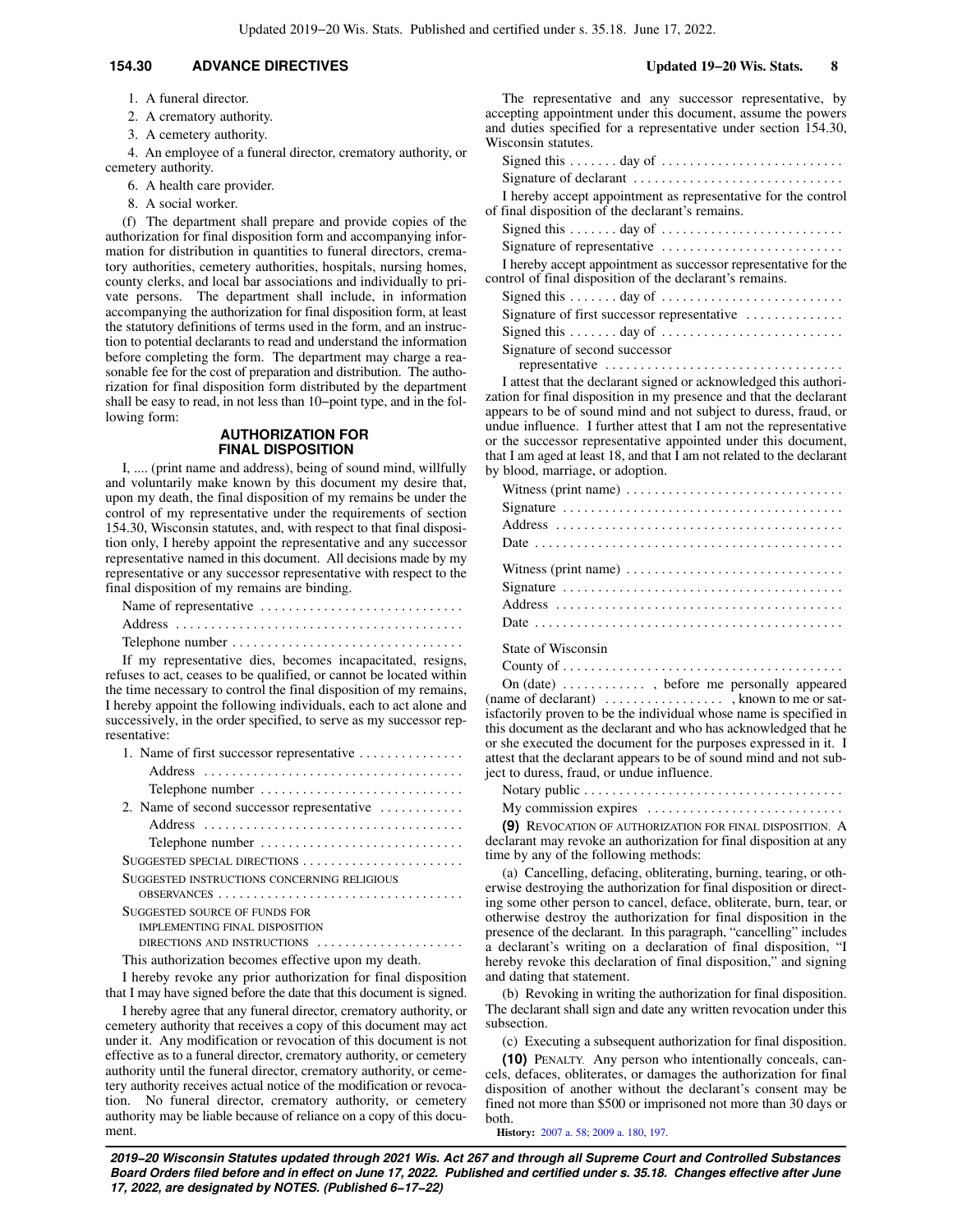## **154.30 ADVANCE DIRECTIVES Updated 19−20 Wis. Stats. 8**

1. A funeral director.

2. A crematory authority.

3. A cemetery authority.

4. An employee of a funeral director, crematory authority, or cemetery authority.

- 6. A health care provider.
- 8. A social worker.

(f) The department shall prepare and provide copies of the authorization for final disposition form and accompanying information for distribution in quantities to funeral directors, crematory authorities, cemetery authorities, hospitals, nursing homes, county clerks, and local bar associations and individually to private persons. The department shall include, in information accompanying the authorization for final disposition form, at least the statutory definitions of terms used in the form, and an instruction to potential declarants to read and understand the information before completing the form. The department may charge a reasonable fee for the cost of preparation and distribution. The authorization for final disposition form distributed by the department shall be easy to read, in not less than 10−point type, and in the following form:

## **AUTHORIZATION FOR FINAL DISPOSITION**

I, .... (print name and address), being of sound mind, willfully and voluntarily make known by this document my desire that, upon my death, the final disposition of my remains be under the control of my representative under the requirements of section 154.30, Wisconsin statutes, and, with respect to that final disposition only, I hereby appoint the representative and any successor representative named in this document. All decisions made by my representative or any successor representative with respect to the final disposition of my remains are binding.

| Name of representative |  |  |  |  |  |  |  |  |  |  |  |  |  |
|------------------------|--|--|--|--|--|--|--|--|--|--|--|--|--|
|                        |  |  |  |  |  |  |  |  |  |  |  |  |  |
|                        |  |  |  |  |  |  |  |  |  |  |  |  |  |

If my representative dies, becomes incapacitated, resigns, refuses to act, ceases to be qualified, or cannot be located within the time necessary to control the final disposition of my remains, I hereby appoint the following individuals, each to act alone and successively, in the order specified, to serve as my successor representative:

| 1. Name of first successor representative                                                |
|------------------------------------------------------------------------------------------|
|                                                                                          |
| Telephone number                                                                         |
| 2. Name of second successor representative $\dots \dots \dots$                           |
|                                                                                          |
| Telephone number                                                                         |
| SUGGESTED SPECIAL DIRECTIONS                                                             |
| SUGGESTED INSTRUCTIONS CONCERNING RELIGIOUS                                              |
|                                                                                          |
| SUGGESTED SOURCE OF FUNDS FOR                                                            |
| <b>IMPLEMENTING FINAL DISPOSITION</b>                                                    |
| DIRECTIONS AND INSTRUCTIONS                                                              |
| المستحدث والمستحدث والمستحدث والمستحدث والمستحدث والمستحدث والمستحدث والمستحدث والمستحدث |

This authorization becomes effective upon my death.

I hereby revoke any prior authorization for final disposition that I may have signed before the date that this document is signed.

I hereby agree that any funeral director, crematory authority, or cemetery authority that receives a copy of this document may act under it. Any modification or revocation of this document is not effective as to a funeral director, crematory authority, or cemetery authority until the funeral director, crematory authority, or cemetery authority receives actual notice of the modification or revocation. No funeral director, crematory authority, or cemetery authority may be liable because of reliance on a copy of this document.

The representative and any successor representative, by accepting appointment under this document, assume the powers and duties specified for a representative under section 154.30,

| Wisconsin statutes.                                                                                                         |
|-----------------------------------------------------------------------------------------------------------------------------|
| Signed this $\dots \dots$ day of $\dots \dots \dots \dots \dots \dots \dots \dots$                                          |
| Signature of declarant                                                                                                      |
| I hereby accept appointment as representative for the control<br>of final disposition of the declarant's remains.           |
|                                                                                                                             |
| Signature of representative                                                                                                 |
| I hereby accept appointment as successor representative for the<br>control of final disposition of the declarant's remains. |
|                                                                                                                             |
| Signature of first successor representative                                                                                 |
|                                                                                                                             |
| Signature of second successor<br>representative                                                                             |
|                                                                                                                             |

I attest that the declarant signed or acknowledged this authorization for final disposition in my presence and that the declarant appears to be of sound mind and not subject to duress, fraud, or undue influence. I further attest that I am not the representative or the successor representative appointed under this document, that I am aged at least 18, and that I am not related to the declarant by blood, marriage, or adoption.

State of Wisconsin

|  |  |  |  |  | County of $\dots \dots \dots \dots \dots \dots \dots \dots \dots \dots \dots \dots \dots$ |
|--|--|--|--|--|-------------------------------------------------------------------------------------------|
|--|--|--|--|--|-------------------------------------------------------------------------------------------|

On (date) . . . . . . . . . . . . , before me personally appeared (name of declarant) . . . . . . . . . . . . . . . . . . known to me or satisfactorily proven to be the individual whose name is specified in this document as the declarant and who has acknowledged that he or she executed the document for the purposes expressed in it. I attest that the declarant appears to be of sound mind and not subject to duress, fraud, or undue influence.

| My commission expires $\dots \dots \dots \dots \dots \dots \dots \dots \dots$ |  |
|-------------------------------------------------------------------------------|--|

**(9)** REVOCATION OF AUTHORIZATION FOR FINAL DISPOSITION. A declarant may revoke an authorization for final disposition at any time by any of the following methods:

(a) Cancelling, defacing, obliterating, burning, tearing, or otherwise destroying the authorization for final disposition or directing some other person to cancel, deface, obliterate, burn, tear, or otherwise destroy the authorization for final disposition in the presence of the declarant. In this paragraph, "cancelling" includes a declarant's writing on a declaration of final disposition, "I hereby revoke this declaration of final disposition," and signing and dating that statement.

(b) Revoking in writing the authorization for final disposition. The declarant shall sign and date any written revocation under this subsection.

(c) Executing a subsequent authorization for final disposition.

**(10)** PENALTY. Any person who intentionally conceals, cancels, defaces, obliterates, or damages the authorization for final disposition of another without the declarant's consent may be fined not more than \$500 or imprisoned not more than 30 days or both.

**History:** [2007 a. 58](https://docs.legis.wisconsin.gov/document/acts/2007/58); [2009 a. 180,](https://docs.legis.wisconsin.gov/document/acts/2009/180) [197.](https://docs.legis.wisconsin.gov/document/acts/2009/197)